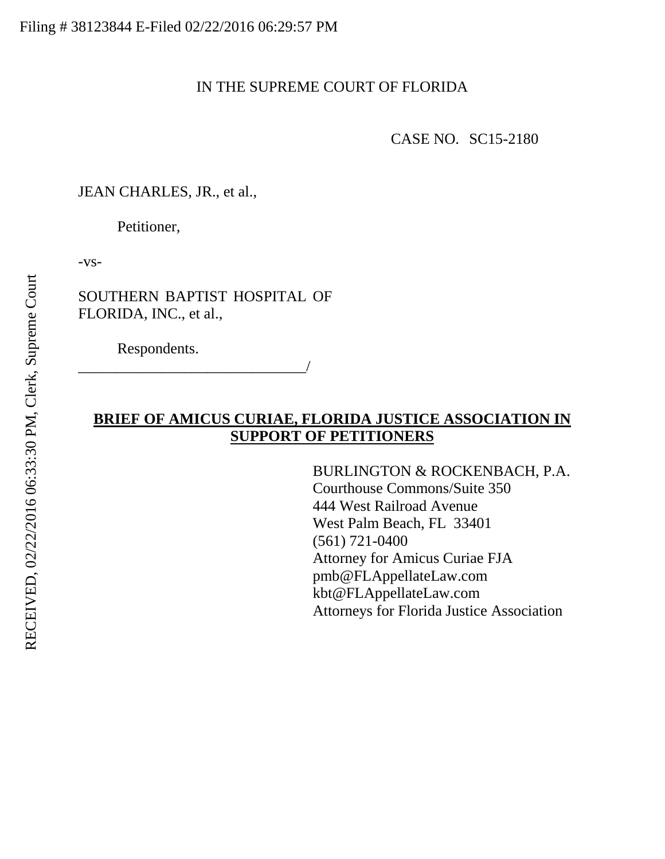## IN THE SUPREME COURT OF FLORIDA

CASE NO. SC15-2180

JEAN CHARLES, JR., et al.,

Petitioner,

-vs-

SOUTHERN BAPTIST HOSPITAL OF FLORIDA, INC., et al.,

Respondents.

\_\_\_\_\_\_\_\_\_\_\_\_\_\_\_\_\_\_\_\_\_\_\_\_\_\_\_\_\_\_/

# **BRIEF OF AMICUS CURIAE, FLORIDA JUSTICE ASSOCIATION IN SUPPORT OF PETITIONERS**

BURLINGTON & ROCKENBACH, P.A. Courthouse Commons/Suite 350 444 West Railroad Avenue West Palm Beach, FL 33401 (561) 721-0400 Attorney for Amicus Curiae FJA pmb@FLAppellateLaw.com kbt@FLAppellateLaw.com Attorneys for Florida Justice Association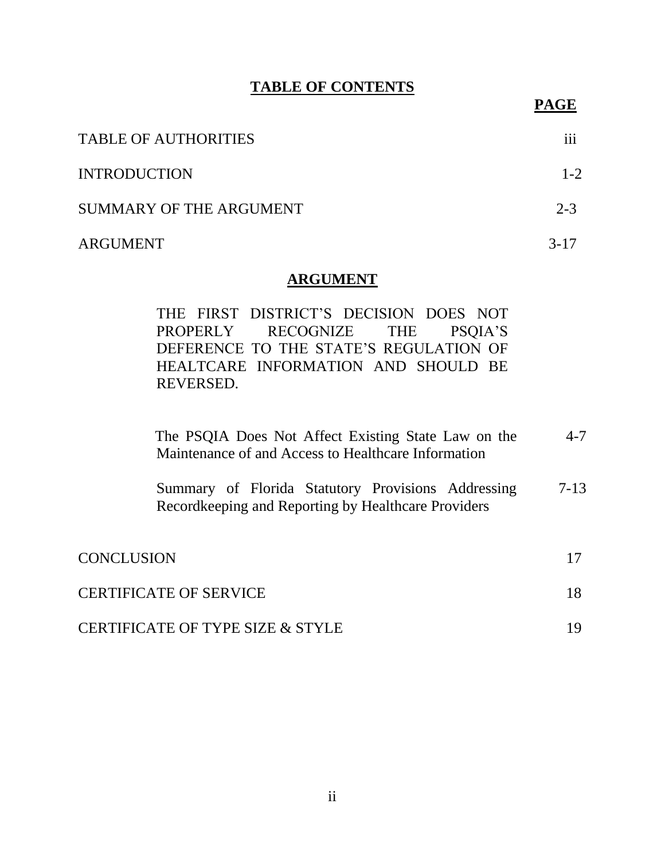## **TABLE OF CONTENTS**

**PAGE**

| <b>TABLE OF AUTHORITIES</b> | $\cdots$<br>111 |
|-----------------------------|-----------------|
| <b>INTRODUCTION</b>         | $1 - 2$         |
| SUMMARY OF THE ARGUMENT     | $2 - 3$         |
| ARGUMENT                    | $3 - 17$        |

#### **ARGUMENT**

THE FIRST DISTRICT'S DECISION DOES NOT PROPERLY RECOGNIZE THE PSQIA'S DEFERENCE TO THE STATE'S REGULATION OF HEALTCARE INFORMATION AND SHOULD BE REVERSED.

| The PSQIA Does Not Affect Existing State Law on the<br>Maintenance of and Access to Healthcare Information | $4 - 7$  |
|------------------------------------------------------------------------------------------------------------|----------|
| Summary of Florida Statutory Provisions Addressing<br>Recordkeeping and Reporting by Healthcare Providers  | $7 - 13$ |
| <b>CONCLUSION</b>                                                                                          |          |
| <b>CERTIFICATE OF SERVICE</b>                                                                              | 18       |
| <b>CERTIFICATE OF TYPE SIZE &amp; STYLE</b>                                                                |          |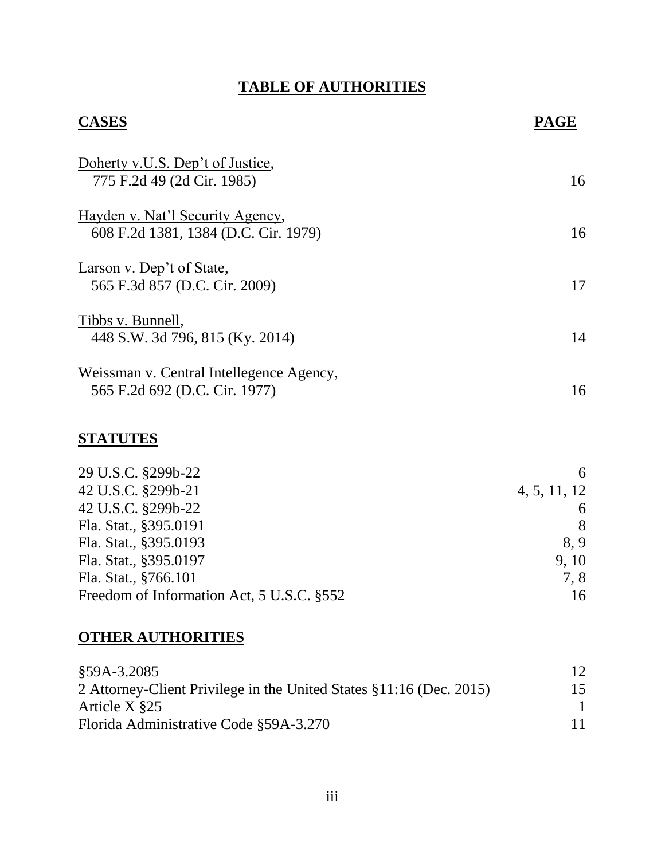# **TABLE OF AUTHORITIES**

| <b>CASES</b>                                                              | <b>PAGE</b> |
|---------------------------------------------------------------------------|-------------|
| Doherty v.U.S. Dep't of Justice,<br>775 F.2d 49 (2d Cir. 1985)            | 16          |
| Hayden v. Nat'l Security Agency,<br>608 F.2d 1381, 1384 (D.C. Cir. 1979)  | 16          |
| Larson v. Dep't of State,<br>565 F.3d 857 (D.C. Cir. 2009)                | 17          |
| Tibbs v. Bunnell,<br>448 S.W. 3d 796, 815 (Ky. 2014)                      | 14          |
| Weissman v. Central Intellegence Agency,<br>565 F.2d 692 (D.C. Cir. 1977) | 16          |

# **STATUTES**

| 29 U.S.C. §299b-22                        | 6            |
|-------------------------------------------|--------------|
| 42 U.S.C. §299b-21                        | 4, 5, 11, 12 |
| 42 U.S.C. §299b-22                        | 6            |
| Fla. Stat., §395.0191                     | 8            |
| Fla. Stat., §395.0193                     | 8.9          |
| Fla. Stat., §395.0197                     | 9.10         |
| Fla. Stat., §766.101                      | 7.8          |
| Freedom of Information Act, 5 U.S.C. §552 | 16           |

# **OTHER AUTHORITIES**

| §59A-3.2085                                                         | 12 |
|---------------------------------------------------------------------|----|
| 2 Attorney-Client Privilege in the United States §11:16 (Dec. 2015) | 15 |
| Article $X \$                                                       |    |
| Florida Administrative Code §59A-3.270                              | 11 |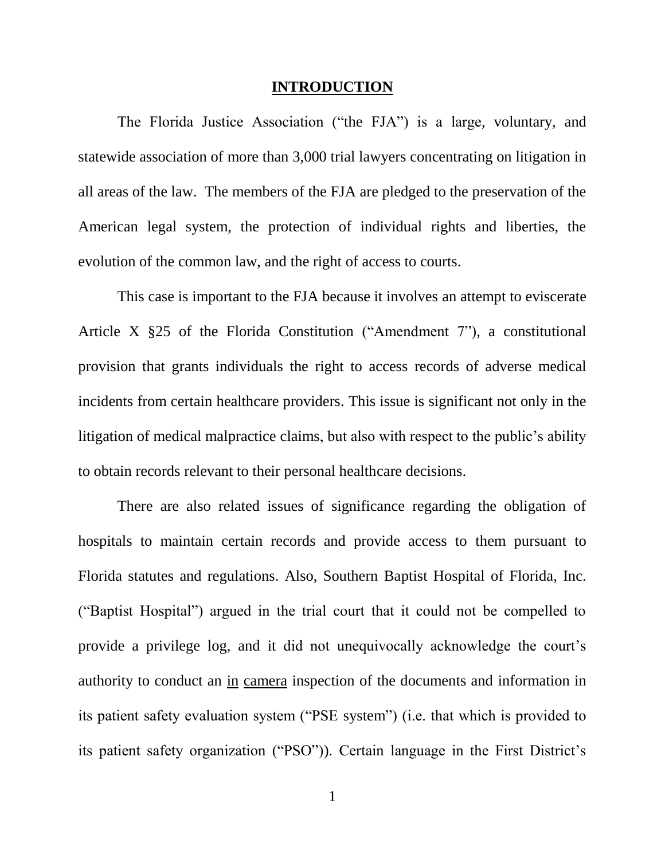#### **INTRODUCTION**

The Florida Justice Association ("the FJA") is a large, voluntary, and statewide association of more than 3,000 trial lawyers concentrating on litigation in all areas of the law. The members of the FJA are pledged to the preservation of the American legal system, the protection of individual rights and liberties, the evolution of the common law, and the right of access to courts.

This case is important to the FJA because it involves an attempt to eviscerate Article X §25 of the Florida Constitution ("Amendment 7"), a constitutional provision that grants individuals the right to access records of adverse medical incidents from certain healthcare providers. This issue is significant not only in the litigation of medical malpractice claims, but also with respect to the public's ability to obtain records relevant to their personal healthcare decisions.

There are also related issues of significance regarding the obligation of hospitals to maintain certain records and provide access to them pursuant to Florida statutes and regulations. Also, Southern Baptist Hospital of Florida, Inc. ("Baptist Hospital") argued in the trial court that it could not be compelled to provide a privilege log, and it did not unequivocally acknowledge the court's authority to conduct an in camera inspection of the documents and information in its patient safety evaluation system ("PSE system") (i.e. that which is provided to its patient safety organization ("PSO")). Certain language in the First District's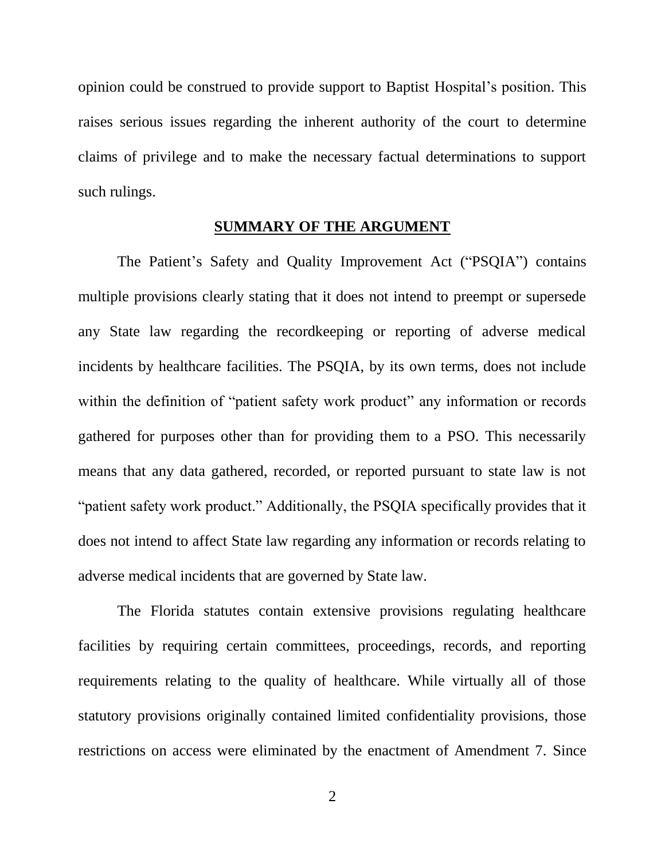opinion could be construed to provide support to Baptist Hospital's position. This raises serious issues regarding the inherent authority of the court to determine claims of privilege and to make the necessary factual determinations to support such rulings.

#### **SUMMARY OF THE ARGUMENT**

The Patient's Safety and Quality Improvement Act ("PSQIA") contains multiple provisions clearly stating that it does not intend to preempt or supersede any State law regarding the recordkeeping or reporting of adverse medical incidents by healthcare facilities. The PSQIA, by its own terms, does not include within the definition of "patient safety work product" any information or records gathered for purposes other than for providing them to a PSO. This necessarily means that any data gathered, recorded, or reported pursuant to state law is not "patient safety work product." Additionally, the PSQIA specifically provides that it does not intend to affect State law regarding any information or records relating to adverse medical incidents that are governed by State law.

The Florida statutes contain extensive provisions regulating healthcare facilities by requiring certain committees, proceedings, records, and reporting requirements relating to the quality of healthcare. While virtually all of those statutory provisions originally contained limited confidentiality provisions, those restrictions on access were eliminated by the enactment of Amendment 7. Since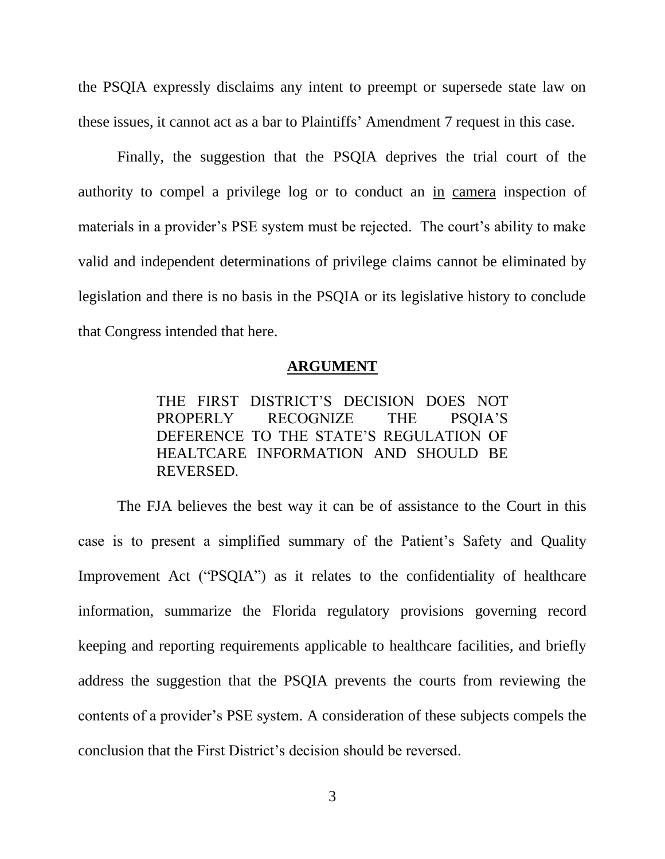the PSQIA expressly disclaims any intent to preempt or supersede state law on these issues, it cannot act as a bar to Plaintiffs' Amendment 7 request in this case.

Finally, the suggestion that the PSQIA deprives the trial court of the authority to compel a privilege log or to conduct an in camera inspection of materials in a provider's PSE system must be rejected. The court's ability to make valid and independent determinations of privilege claims cannot be eliminated by legislation and there is no basis in the PSQIA or its legislative history to conclude that Congress intended that here.

#### **ARGUMENT**

THE FIRST DISTRICT'S DECISION DOES NOT PROPERLY RECOGNIZE THE PSQIA'S DEFERENCE TO THE STATE'S REGULATION OF HEALTCARE INFORMATION AND SHOULD BE REVERSED.

The FJA believes the best way it can be of assistance to the Court in this case is to present a simplified summary of the Patient's Safety and Quality Improvement Act ("PSQIA") as it relates to the confidentiality of healthcare information, summarize the Florida regulatory provisions governing record keeping and reporting requirements applicable to healthcare facilities, and briefly address the suggestion that the PSQIA prevents the courts from reviewing the contents of a provider's PSE system. A consideration of these subjects compels the conclusion that the First District's decision should be reversed.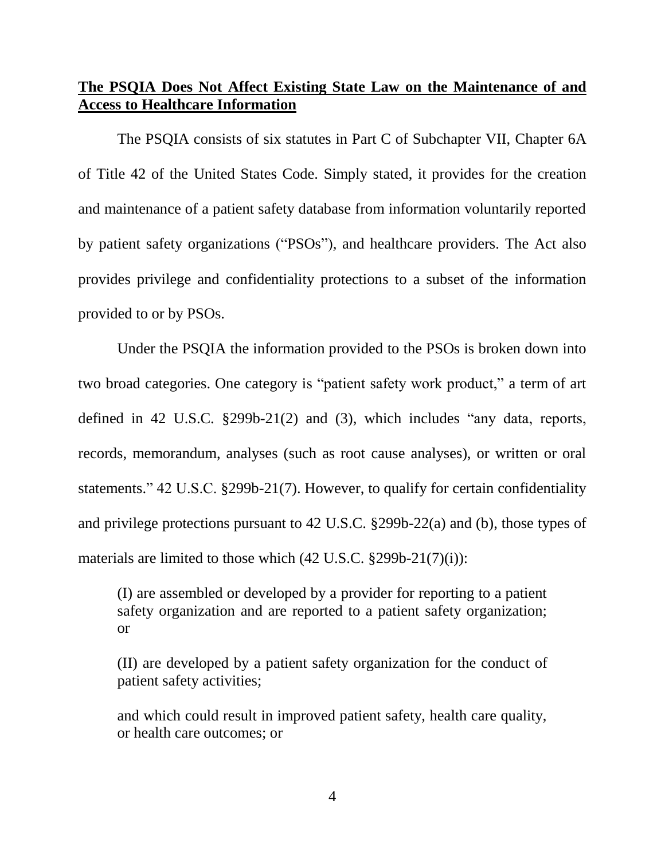# **The PSQIA Does Not Affect Existing State Law on the Maintenance of and Access to Healthcare Information**

The PSQIA consists of six statutes in Part C of Subchapter VII, Chapter 6A of Title 42 of the United States Code. Simply stated, it provides for the creation and maintenance of a patient safety database from information voluntarily reported by patient safety organizations ("PSOs"), and healthcare providers. The Act also provides privilege and confidentiality protections to a subset of the information provided to or by PSOs.

Under the PSQIA the information provided to the PSOs is broken down into two broad categories. One category is "patient safety work product," a term of art defined in 42 U.S.C. §299b-21(2) and (3), which includes "any data, reports, records, memorandum, analyses (such as root cause analyses), or written or oral statements." 42 U.S.C. §299b-21(7). However, to qualify for certain confidentiality and privilege protections pursuant to 42 U.S.C. §299b-22(a) and (b), those types of materials are limited to those which  $(42 \text{ U.S.C. } §299b-21(7)(i))$ :

(I) are assembled or developed by a provider for reporting to a patient safety organization and are reported to a patient safety organization; or

(II) are developed by a patient safety organization for the conduct of patient safety activities;

and which could result in improved patient safety, health care quality, or health care outcomes; or

4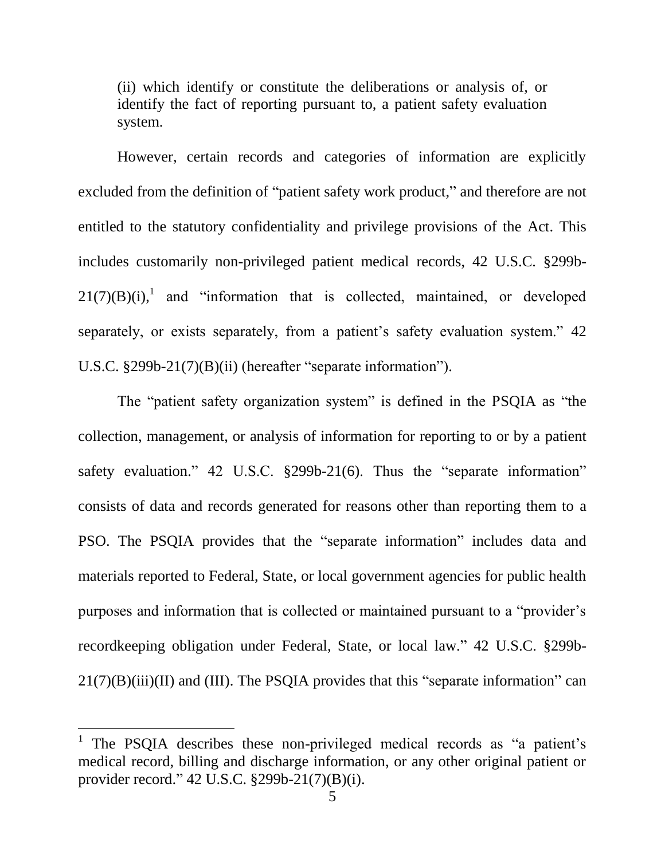(ii) which identify or constitute the deliberations or analysis of, or identify the fact of reporting pursuant to, a patient safety evaluation system.

However, certain records and categories of information are explicitly excluded from the definition of "patient safety work product," and therefore are not entitled to the statutory confidentiality and privilege provisions of the Act. This includes customarily non-privileged patient medical records, 42 U.S.C. §299b- $21(7)(B)(i)$ , and "information that is collected, maintained, or developed separately, or exists separately, from a patient's safety evaluation system." 42 U.S.C. §299b-21(7)(B)(ii) (hereafter "separate information").

The "patient safety organization system" is defined in the PSQIA as "the collection, management, or analysis of information for reporting to or by a patient safety evaluation." 42 U.S.C. §299b-21(6). Thus the "separate information" consists of data and records generated for reasons other than reporting them to a PSO. The PSQIA provides that the "separate information" includes data and materials reported to Federal, State, or local government agencies for public health purposes and information that is collected or maintained pursuant to a "provider's recordkeeping obligation under Federal, State, or local law." 42 U.S.C. §299b- $21(7)(B)(iii)(II)$  and (III). The PSQIA provides that this "separate information" can

<sup>1</sup> The PSQIA describes these non-privileged medical records as "a patient's medical record, billing and discharge information, or any other original patient or provider record." 42 U.S.C. §299b-21(7)(B)(i).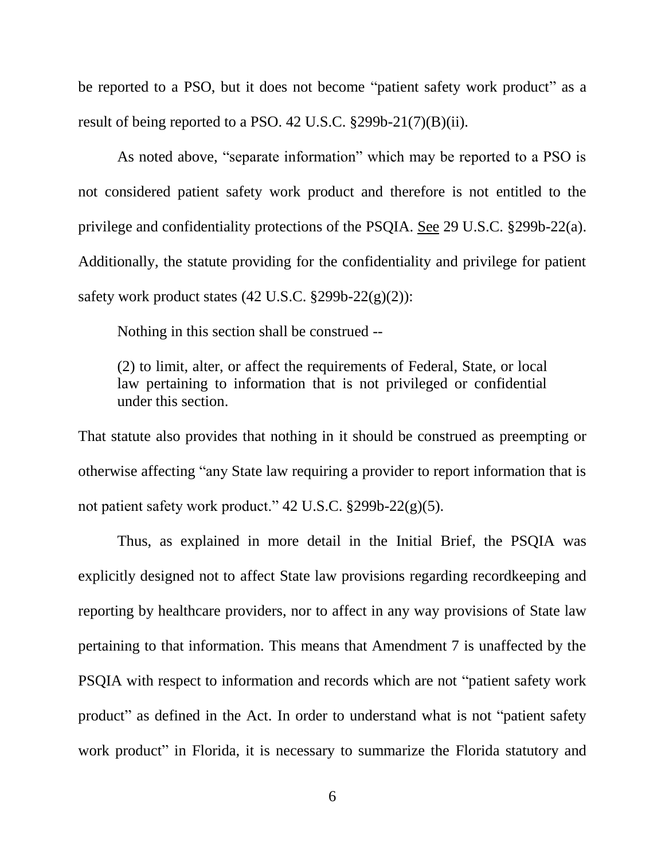be reported to a PSO, but it does not become "patient safety work product" as a result of being reported to a PSO. 42 U.S.C. §299b-21(7)(B)(ii).

As noted above, "separate information" which may be reported to a PSO is not considered patient safety work product and therefore is not entitled to the privilege and confidentiality protections of the PSQIA. See 29 U.S.C. §299b-22(a). Additionally, the statute providing for the confidentiality and privilege for patient safety work product states  $(42 \text{ U.S.C. } §299b-22(g)(2))$ :

Nothing in this section shall be construed --

(2) to limit, alter, or affect the requirements of Federal, State, or local law pertaining to information that is not privileged or confidential under this section.

That statute also provides that nothing in it should be construed as preempting or otherwise affecting "any State law requiring a provider to report information that is not patient safety work product." 42 U.S.C. §299b-22(g)(5).

Thus, as explained in more detail in the Initial Brief, the PSQIA was explicitly designed not to affect State law provisions regarding recordkeeping and reporting by healthcare providers, nor to affect in any way provisions of State law pertaining to that information. This means that Amendment 7 is unaffected by the PSQIA with respect to information and records which are not "patient safety work product" as defined in the Act. In order to understand what is not "patient safety work product" in Florida, it is necessary to summarize the Florida statutory and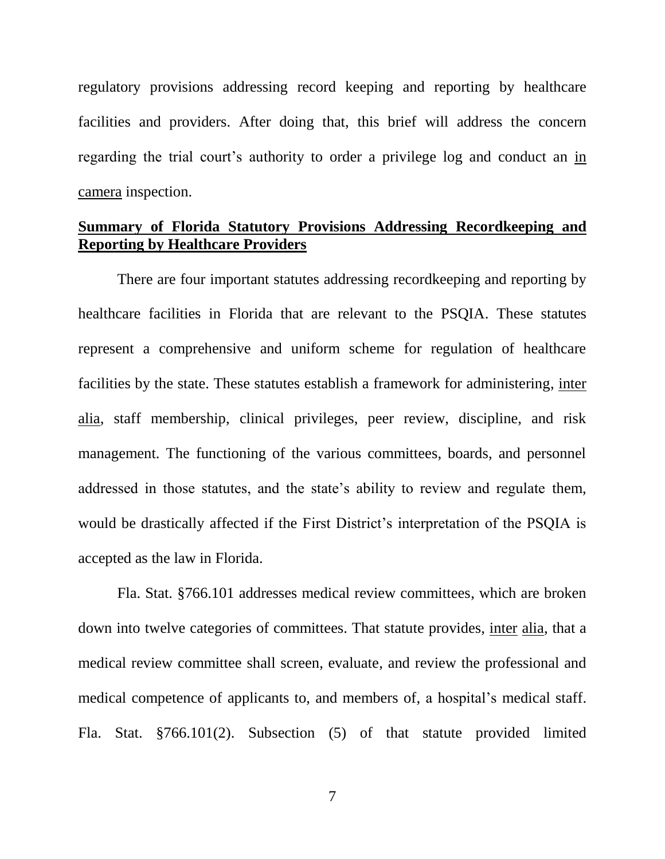regulatory provisions addressing record keeping and reporting by healthcare facilities and providers. After doing that, this brief will address the concern regarding the trial court's authority to order a privilege log and conduct an in camera inspection.

# **Summary of Florida Statutory Provisions Addressing Recordkeeping and Reporting by Healthcare Providers**

There are four important statutes addressing recordkeeping and reporting by healthcare facilities in Florida that are relevant to the PSQIA. These statutes represent a comprehensive and uniform scheme for regulation of healthcare facilities by the state. These statutes establish a framework for administering, inter alia, staff membership, clinical privileges, peer review, discipline, and risk management. The functioning of the various committees, boards, and personnel addressed in those statutes, and the state's ability to review and regulate them, would be drastically affected if the First District's interpretation of the PSQIA is accepted as the law in Florida.

Fla. Stat. §766.101 addresses medical review committees, which are broken down into twelve categories of committees. That statute provides, inter alia, that a medical review committee shall screen, evaluate, and review the professional and medical competence of applicants to, and members of, a hospital's medical staff. Fla. Stat. §766.101(2). Subsection (5) of that statute provided limited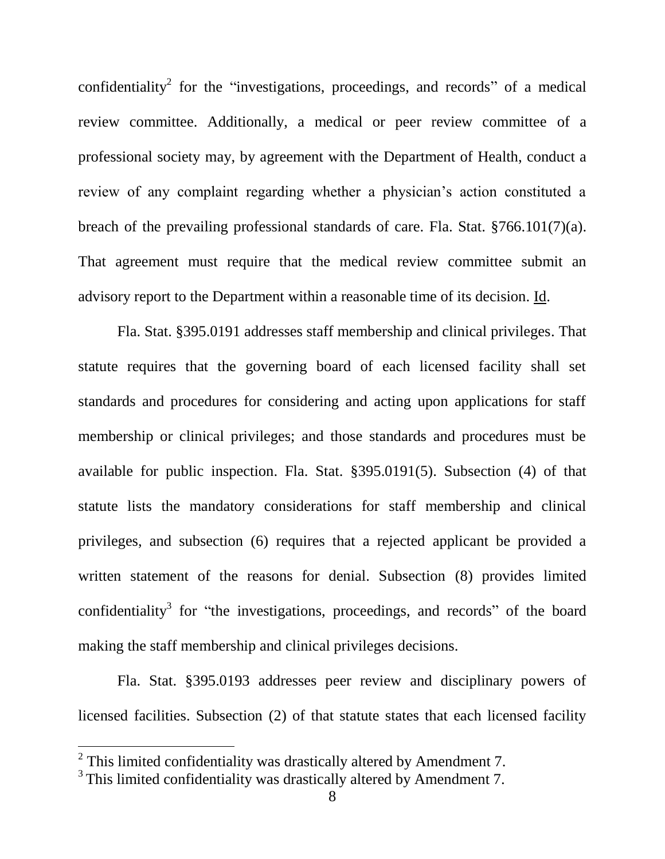confidentiality<sup>2</sup> for the "investigations, proceedings, and records" of a medical review committee. Additionally, a medical or peer review committee of a professional society may, by agreement with the Department of Health, conduct a review of any complaint regarding whether a physician's action constituted a breach of the prevailing professional standards of care. Fla. Stat. §766.101(7)(a). That agreement must require that the medical review committee submit an advisory report to the Department within a reasonable time of its decision. Id.

Fla. Stat. §395.0191 addresses staff membership and clinical privileges. That statute requires that the governing board of each licensed facility shall set standards and procedures for considering and acting upon applications for staff membership or clinical privileges; and those standards and procedures must be available for public inspection. Fla. Stat. §395.0191(5). Subsection (4) of that statute lists the mandatory considerations for staff membership and clinical privileges, and subsection (6) requires that a rejected applicant be provided a written statement of the reasons for denial. Subsection (8) provides limited confidentiality<sup>3</sup> for "the investigations, proceedings, and records" of the board making the staff membership and clinical privileges decisions.

Fla. Stat. §395.0193 addresses peer review and disciplinary powers of licensed facilities. Subsection (2) of that statute states that each licensed facility

 $2$  This limited confidentiality was drastically altered by Amendment 7.

 $3$  This limited confidentiality was drastically altered by Amendment 7.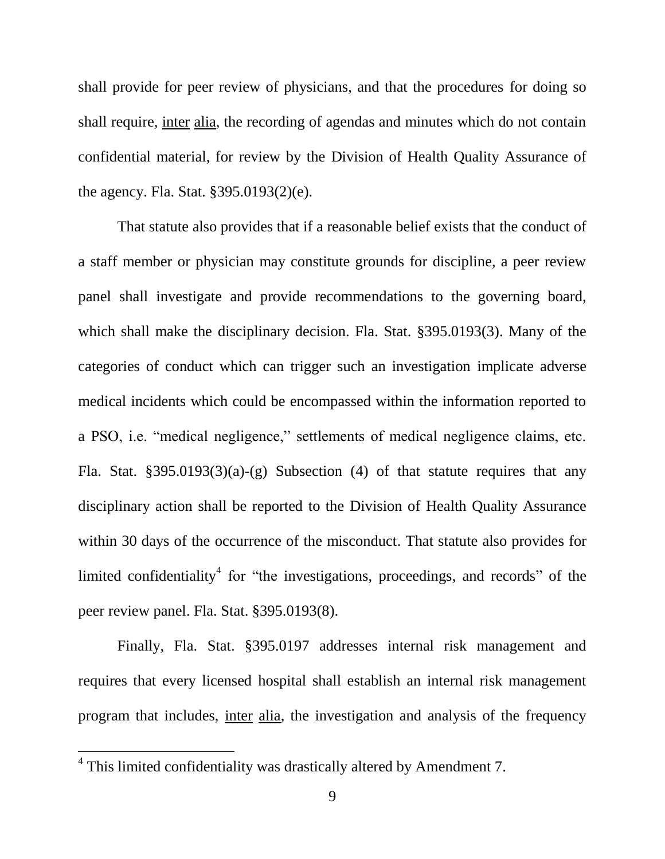shall provide for peer review of physicians, and that the procedures for doing so shall require, inter alia, the recording of agendas and minutes which do not contain confidential material, for review by the Division of Health Quality Assurance of the agency. Fla. Stat. §395.0193(2)(e).

That statute also provides that if a reasonable belief exists that the conduct of a staff member or physician may constitute grounds for discipline, a peer review panel shall investigate and provide recommendations to the governing board, which shall make the disciplinary decision. Fla. Stat. §395.0193(3). Many of the categories of conduct which can trigger such an investigation implicate adverse medical incidents which could be encompassed within the information reported to a PSO, i.e. "medical negligence," settlements of medical negligence claims, etc. Fla. Stat.  $\S 395.0193(3)(a)-(g)$  Subsection (4) of that statute requires that any disciplinary action shall be reported to the Division of Health Quality Assurance within 30 days of the occurrence of the misconduct. That statute also provides for limited confidentiality<sup>4</sup> for "the investigations, proceedings, and records" of the peer review panel. Fla. Stat. §395.0193(8).

Finally, Fla. Stat. §395.0197 addresses internal risk management and requires that every licensed hospital shall establish an internal risk management program that includes, inter alia, the investigation and analysis of the frequency

<sup>&</sup>lt;sup>4</sup> This limited confidentiality was drastically altered by Amendment 7.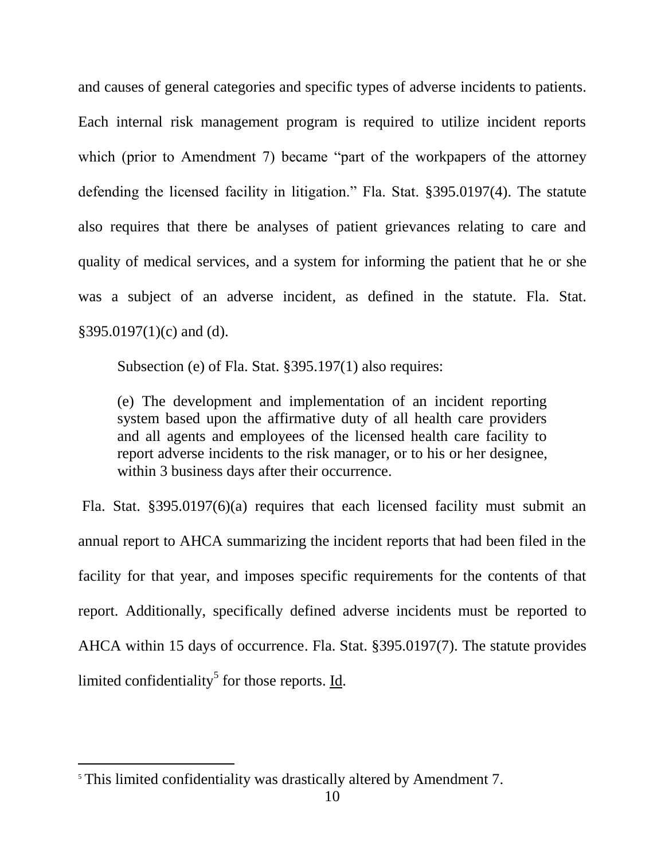and causes of general categories and specific types of adverse incidents to patients. Each internal risk management program is required to utilize incident reports which (prior to Amendment 7) became "part of the workpapers of the attorney defending the licensed facility in litigation." Fla. Stat. §395.0197(4). The statute also requires that there be analyses of patient grievances relating to care and quality of medical services, and a system for informing the patient that he or she was a subject of an adverse incident, as defined in the statute. Fla. Stat. §395.0197(1)(c) and (d).

Subsection (e) of Fla. Stat. §395.197(1) also requires:

(e) The development and implementation of an incident reporting system based upon the affirmative duty of all health care providers and all agents and employees of the licensed health care facility to report adverse incidents to the risk manager, or to his or her designee, within 3 business days after their occurrence.

Fla. Stat. §395.0197(6)(a) requires that each licensed facility must submit an annual report to AHCA summarizing the incident reports that had been filed in the facility for that year, and imposes specific requirements for the contents of that report. Additionally, specifically defined adverse incidents must be reported to AHCA within 15 days of occurrence. Fla. Stat. §395.0197(7). The statute provides limited confidentiality<sup>5</sup> for those reports. <u>Id</u>.

<sup>5</sup> This limited confidentiality was drastically altered by Amendment 7.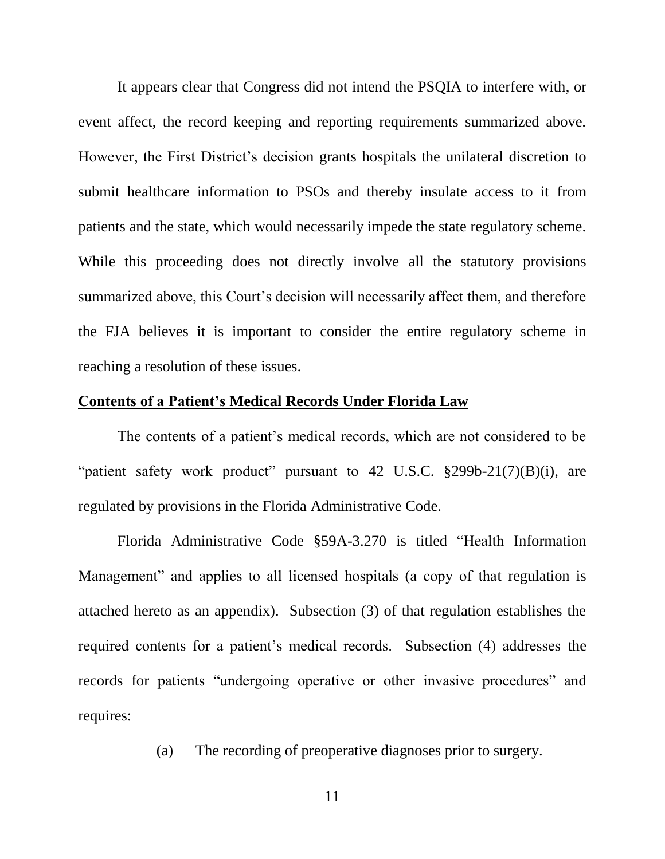It appears clear that Congress did not intend the PSQIA to interfere with, or event affect, the record keeping and reporting requirements summarized above. However, the First District's decision grants hospitals the unilateral discretion to submit healthcare information to PSOs and thereby insulate access to it from patients and the state, which would necessarily impede the state regulatory scheme. While this proceeding does not directly involve all the statutory provisions summarized above, this Court's decision will necessarily affect them, and therefore the FJA believes it is important to consider the entire regulatory scheme in reaching a resolution of these issues.

#### **Contents of a Patient's Medical Records Under Florida Law**

The contents of a patient's medical records, which are not considered to be "patient safety work product" pursuant to  $42 \text{ U.S.C. }$  \$299b-21(7)(B)(i), are regulated by provisions in the Florida Administrative Code.

Florida Administrative Code §59A-3.270 is titled "Health Information Management" and applies to all licensed hospitals (a copy of that regulation is attached hereto as an appendix). Subsection (3) of that regulation establishes the required contents for a patient's medical records. Subsection (4) addresses the records for patients "undergoing operative or other invasive procedures" and requires:

(a) The recording of preoperative diagnoses prior to surgery.

11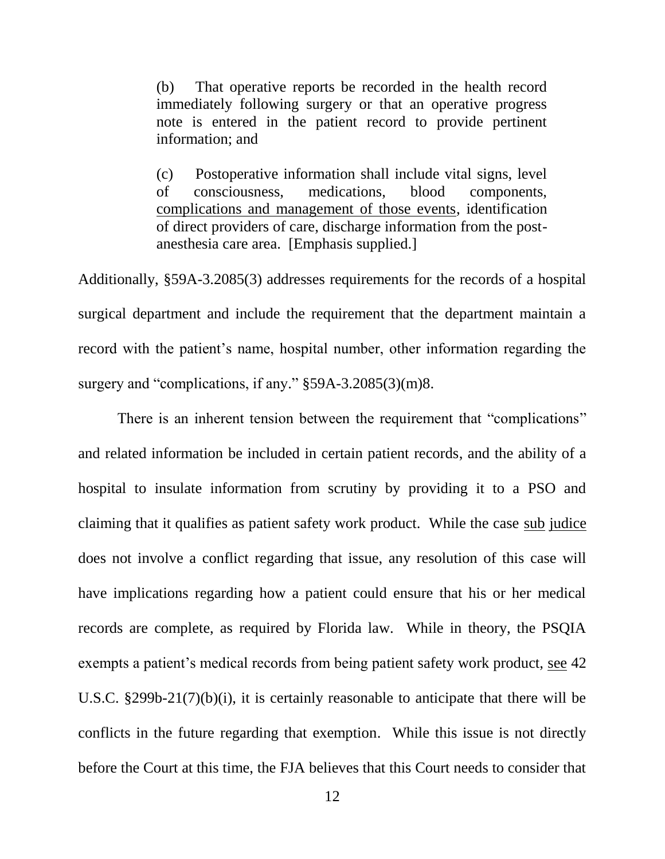(b) That operative reports be recorded in the health record immediately following surgery or that an operative progress note is entered in the patient record to provide pertinent information; and

(c) Postoperative information shall include vital signs, level of consciousness, medications, blood components, complications and management of those events, identification of direct providers of care, discharge information from the postanesthesia care area. [Emphasis supplied.]

Additionally, §59A-3.2085(3) addresses requirements for the records of a hospital surgical department and include the requirement that the department maintain a record with the patient's name, hospital number, other information regarding the surgery and "complications, if any." §59A-3.2085(3)(m)8.

There is an inherent tension between the requirement that "complications" and related information be included in certain patient records, and the ability of a hospital to insulate information from scrutiny by providing it to a PSO and claiming that it qualifies as patient safety work product. While the case sub judice does not involve a conflict regarding that issue, any resolution of this case will have implications regarding how a patient could ensure that his or her medical records are complete, as required by Florida law. While in theory, the PSQIA exempts a patient's medical records from being patient safety work product, see 42 U.S.C. §299b-21(7)(b)(i), it is certainly reasonable to anticipate that there will be conflicts in the future regarding that exemption. While this issue is not directly before the Court at this time, the FJA believes that this Court needs to consider that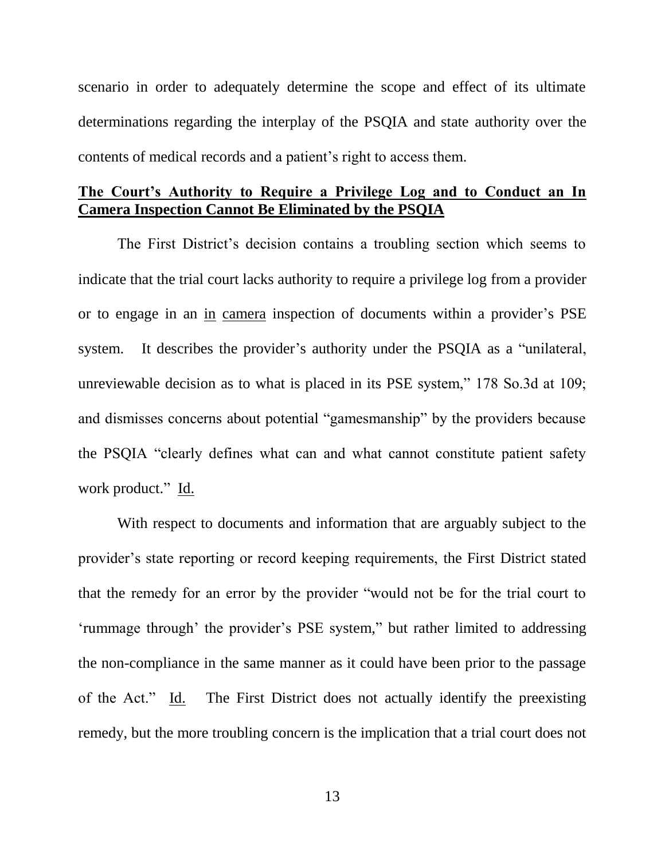scenario in order to adequately determine the scope and effect of its ultimate determinations regarding the interplay of the PSQIA and state authority over the contents of medical records and a patient's right to access them.

# **The Court's Authority to Require a Privilege Log and to Conduct an In Camera Inspection Cannot Be Eliminated by the PSQIA**

The First District's decision contains a troubling section which seems to indicate that the trial court lacks authority to require a privilege log from a provider or to engage in an in camera inspection of documents within a provider's PSE system. It describes the provider's authority under the PSQIA as a "unilateral, unreviewable decision as to what is placed in its PSE system," 178 So.3d at 109; and dismisses concerns about potential "gamesmanship" by the providers because the PSQIA "clearly defines what can and what cannot constitute patient safety work product." Id.

With respect to documents and information that are arguably subject to the provider's state reporting or record keeping requirements, the First District stated that the remedy for an error by the provider "would not be for the trial court to 'rummage through' the provider's PSE system," but rather limited to addressing the non-compliance in the same manner as it could have been prior to the passage of the Act." Id. The First District does not actually identify the preexisting remedy, but the more troubling concern is the implication that a trial court does not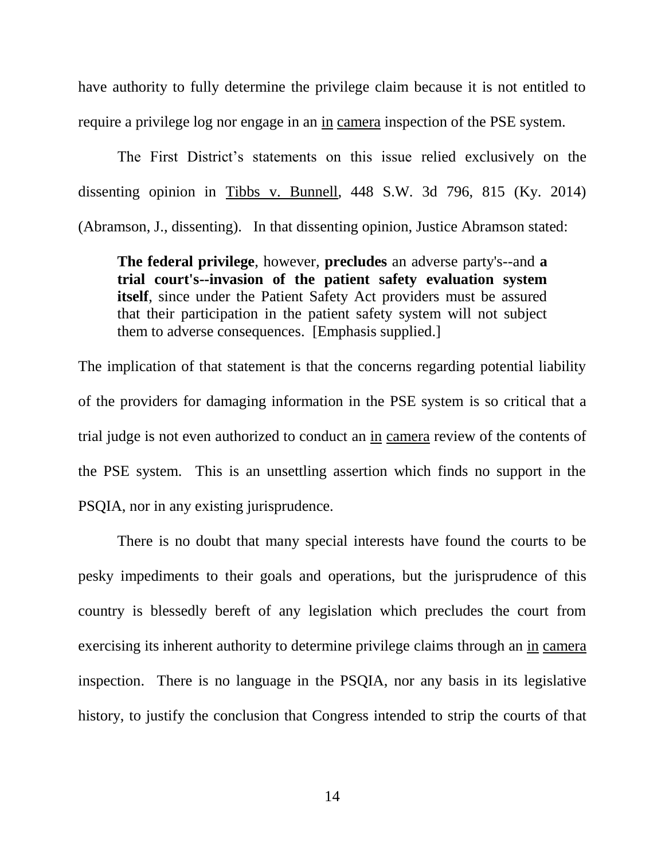have authority to fully determine the privilege claim because it is not entitled to require a privilege log nor engage in an in camera inspection of the PSE system.

The First District's statements on this issue relied exclusively on the dissenting opinion in Tibbs v. Bunnell, 448 S.W. 3d 796, 815 (Ky. 2014) (Abramson, J., dissenting). In that dissenting opinion, Justice Abramson stated:

**The federal privilege**, however, **precludes** an adverse party's--and **a trial court's--invasion of the patient safety evaluation system itself**, since under the Patient Safety Act providers must be assured that their participation in the patient safety system will not subject them to adverse consequences. [Emphasis supplied.]

The implication of that statement is that the concerns regarding potential liability of the providers for damaging information in the PSE system is so critical that a trial judge is not even authorized to conduct an in camera review of the contents of the PSE system. This is an unsettling assertion which finds no support in the PSQIA, nor in any existing jurisprudence.

There is no doubt that many special interests have found the courts to be pesky impediments to their goals and operations, but the jurisprudence of this country is blessedly bereft of any legislation which precludes the court from exercising its inherent authority to determine privilege claims through an in camera inspection. There is no language in the PSQIA, nor any basis in its legislative history, to justify the conclusion that Congress intended to strip the courts of that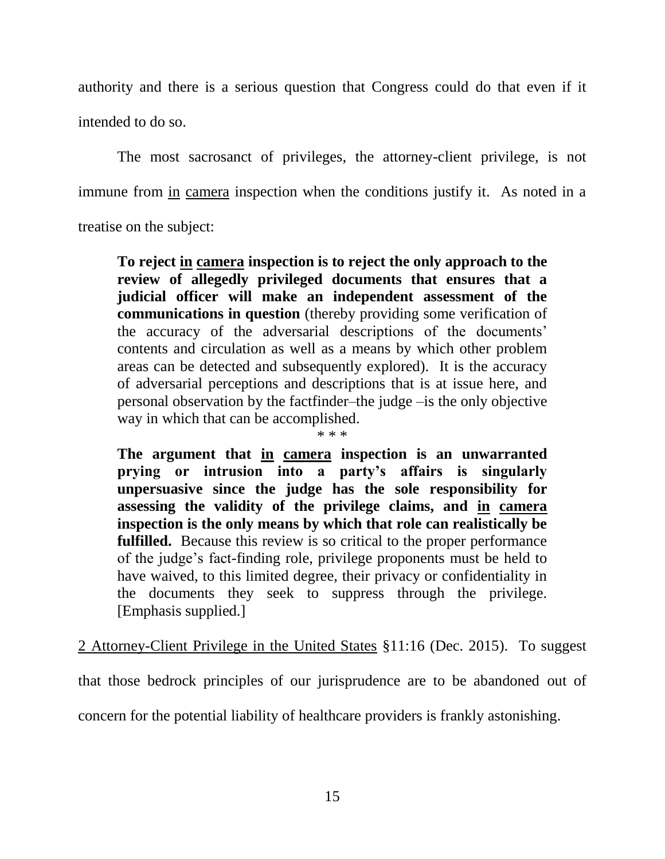authority and there is a serious question that Congress could do that even if it intended to do so.

The most sacrosanct of privileges, the attorney-client privilege, is not immune from in camera inspection when the conditions justify it. As noted in a treatise on the subject:

**To reject in camera inspection is to reject the only approach to the review of allegedly privileged documents that ensures that a judicial officer will make an independent assessment of the communications in question** (thereby providing some verification of the accuracy of the adversarial descriptions of the documents' contents and circulation as well as a means by which other problem areas can be detected and subsequently explored). It is the accuracy of adversarial perceptions and descriptions that is at issue here, and personal observation by the factfinder–the judge –is the only objective way in which that can be accomplished.

\* \* \*

**The argument that in camera inspection is an unwarranted prying or intrusion into a party's affairs is singularly unpersuasive since the judge has the sole responsibility for assessing the validity of the privilege claims, and in camera inspection is the only means by which that role can realistically be fulfilled.** Because this review is so critical to the proper performance of the judge's fact-finding role, privilege proponents must be held to have waived, to this limited degree, their privacy or confidentiality in the documents they seek to suppress through the privilege. [Emphasis supplied.]

2 Attorney-Client Privilege in the United States §11:16 (Dec. 2015). To suggest

that those bedrock principles of our jurisprudence are to be abandoned out of

concern for the potential liability of healthcare providers is frankly astonishing.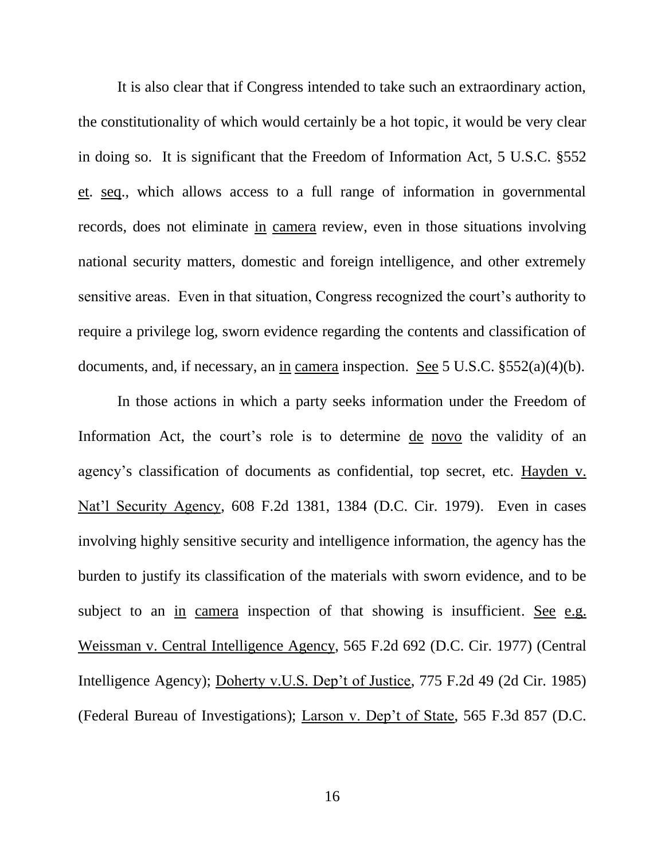It is also clear that if Congress intended to take such an extraordinary action, the constitutionality of which would certainly be a hot topic, it would be very clear in doing so. It is significant that the Freedom of Information Act, 5 U.S.C. §552 et. seq., which allows access to a full range of information in governmental records, does not eliminate in camera review, even in those situations involving national security matters, domestic and foreign intelligence, and other extremely sensitive areas. Even in that situation, Congress recognized the court's authority to require a privilege log, sworn evidence regarding the contents and classification of documents, and, if necessary, an in camera inspection. See 5 U.S.C. §552(a)(4)(b).

In those actions in which a party seeks information under the Freedom of Information Act, the court's role is to determine de novo the validity of an agency's classification of documents as confidential, top secret, etc. Hayden v. Nat'l Security Agency, 608 F.2d 1381, 1384 (D.C. Cir. 1979). Even in cases involving highly sensitive security and intelligence information, the agency has the burden to justify its classification of the materials with sworn evidence, and to be subject to an in camera inspection of that showing is insufficient. See e.g. Weissman v. Central Intelligence Agency, 565 F.2d 692 (D.C. Cir. 1977) (Central Intelligence Agency); Doherty v.U.S. Dep't of Justice, 775 F.2d 49 (2d Cir. 1985) (Federal Bureau of Investigations); Larson v. Dep't of State, 565 F.3d 857 (D.C.

16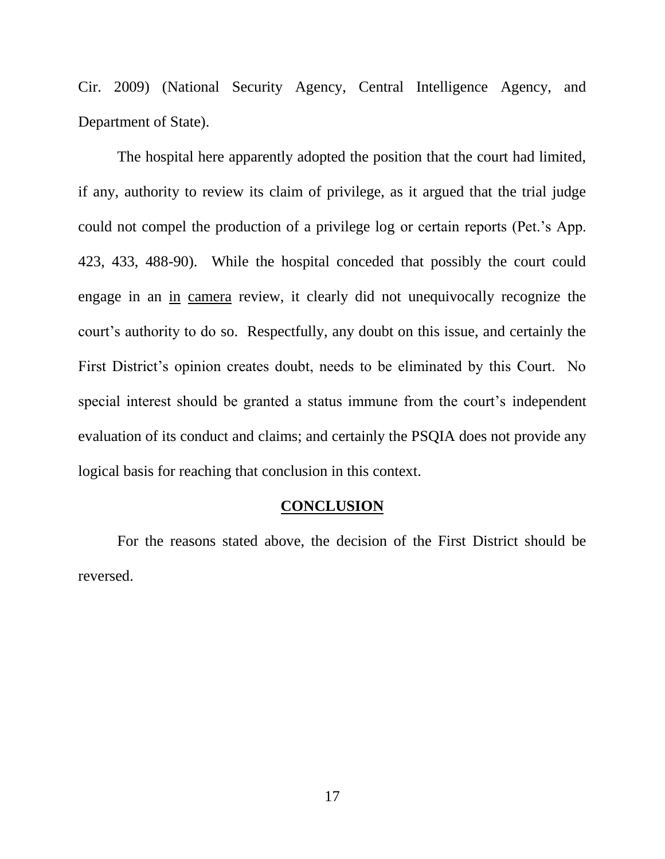Cir. 2009) (National Security Agency, Central Intelligence Agency, and Department of State).

The hospital here apparently adopted the position that the court had limited, if any, authority to review its claim of privilege, as it argued that the trial judge could not compel the production of a privilege log or certain reports (Pet.'s App. 423, 433, 488-90). While the hospital conceded that possibly the court could engage in an in camera review, it clearly did not unequivocally recognize the court's authority to do so. Respectfully, any doubt on this issue, and certainly the First District's opinion creates doubt, needs to be eliminated by this Court. No special interest should be granted a status immune from the court's independent evaluation of its conduct and claims; and certainly the PSQIA does not provide any logical basis for reaching that conclusion in this context.

## **CONCLUSION**

For the reasons stated above, the decision of the First District should be reversed.

17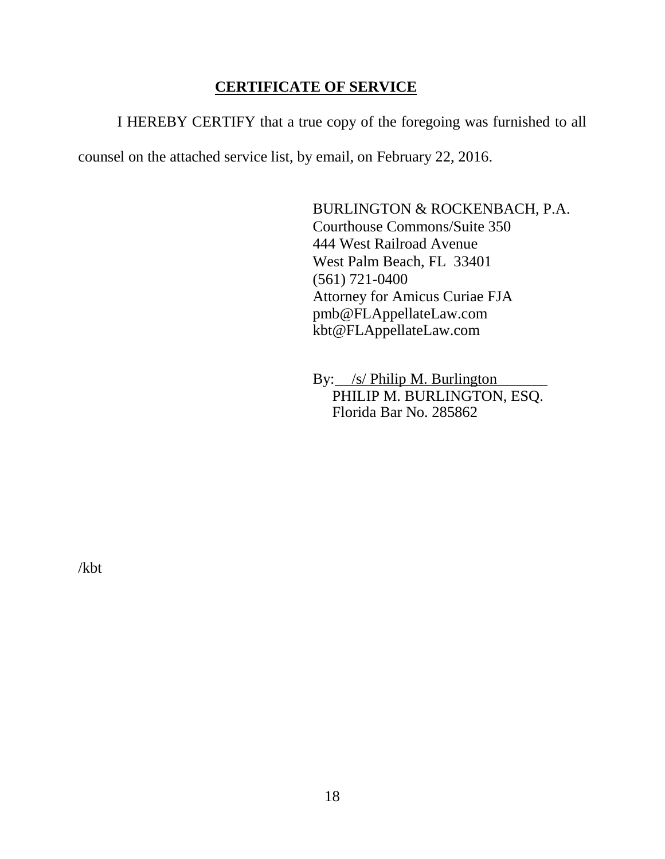# **CERTIFICATE OF SERVICE**

I HEREBY CERTIFY that a true copy of the foregoing was furnished to all

counsel on the attached service list, by email, on February 22, 2016.

BURLINGTON & ROCKENBACH, P.A. Courthouse Commons/Suite 350 444 West Railroad Avenue West Palm Beach, FL 33401 (561) 721-0400 Attorney for Amicus Curiae FJA pmb@FLAppellateLaw.com kbt@FLAppellateLaw.com

By: /s/ Philip M. Burlington PHILIP M. BURLINGTON, ESQ. Florida Bar No. 285862

/kbt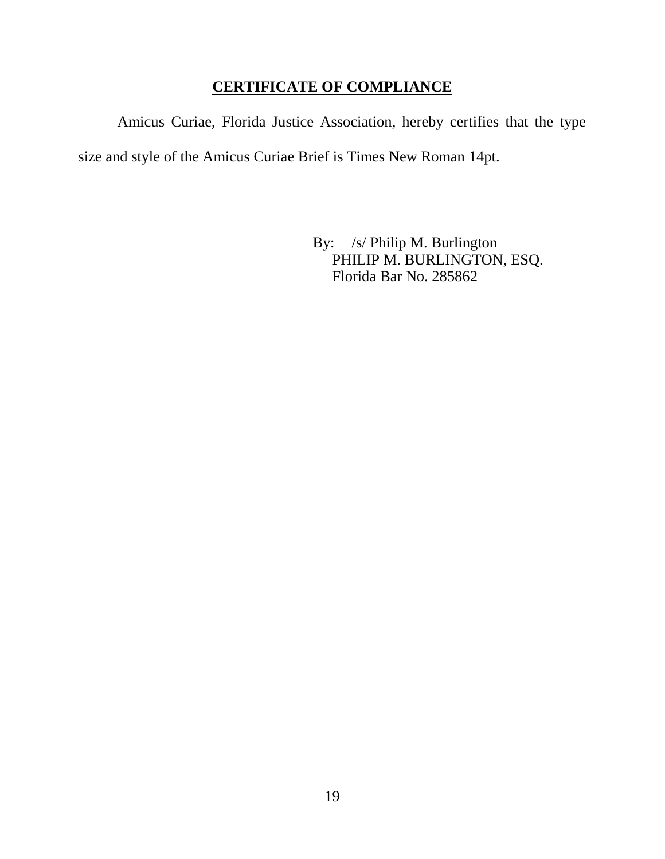# **CERTIFICATE OF COMPLIANCE**

Amicus Curiae, Florida Justice Association, hereby certifies that the type size and style of the Amicus Curiae Brief is Times New Roman 14pt.

> By: /s/ Philip M. Burlington PHILIP M. BURLINGTON, ESQ. Florida Bar No. 285862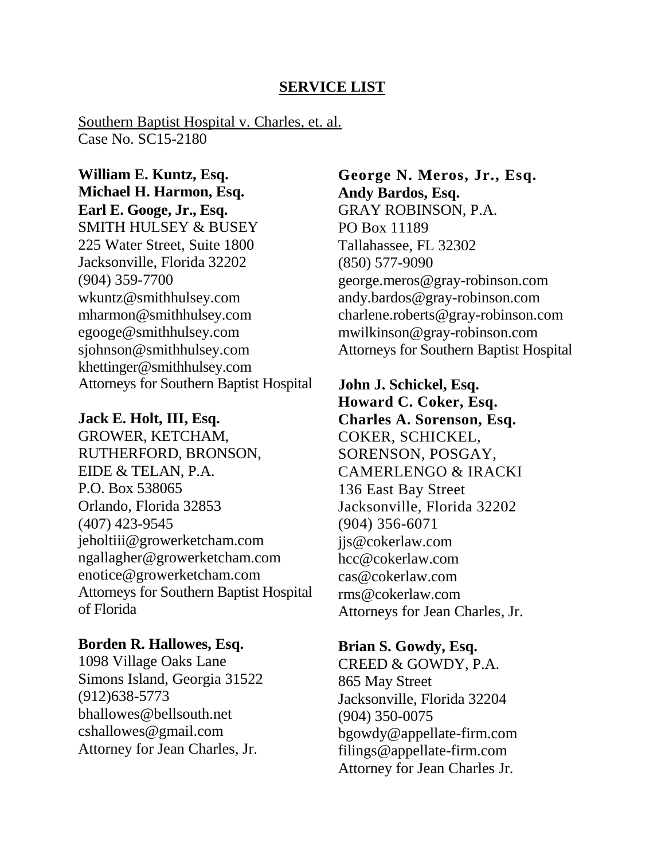# **SERVICE LIST**

Southern Baptist Hospital v. Charles, et. al. Case No. SC15-2180

**William E. Kuntz, Esq. Michael H. Harmon, Esq. Earl E. Googe, Jr., Esq.** SMITH HULSEY & BUSEY 225 Water Street, Suite 1800 Jacksonville, Florida 32202 (904) 359-7700 [wkuntz@smithhulsey.com](mailto:wkuntz@smithhulsey.com) [mharmon@smithhulsey.com](mailto:mharmon@smithhulsey.com) [egooge@smithhulsey.com](mailto:egooge@smithhulsey.com) [sjohnson@smithhulsey.com](mailto:sjohnson@smithhulsey.com) [khettinger@smithhulsey.com](mailto:khettinger@smithhulsey.com) Attorneys for Southern Baptist Hospital

#### **Jack E. Holt, III, Esq.**

GROWER, KETCHAM, RUTHERFORD, BRONSON, EIDE & TELAN, P.A. P.O. Box 538065 Orlando, Florida 32853 (407) 423-9545 [jeholtiii@growerketcham.com](mailto:jeholtiii@growerketcham.com) [ngallagher@growerketcham.com](mailto:ngallagher@growerketcham.com) [enotice@growerketcham.com](mailto:enotice@growerketcham.com) Attorneys for Southern Baptist Hospital of Florida

#### **Borden R. Hallowes, Esq.**

1098 Village Oaks Lane Simons Island, Georgia 31522 (912)638-5773 [bhallowes@bellsouth.net](mailto:bhallowes@bellsouth.net) [cshallowes@gmail.com](mailto:cshallowes@gmail.com) Attorney for Jean Charles, Jr.

**George N. Meros, Jr., Esq. Andy Bardos, Esq.** GRAY ROBINSON, P.A. PO Box 11189 Tallahassee, FL 32302 (850) 577-9090 [george.meros@gray-robinson.com](mailto:george.meros@gray-robinson.com) [andy.bardos@gray-robinson.com](mailto:andy.bardos@gray-robinson.com) [charlene.roberts@gray-robinson.com](mailto:charlene.roberts@gray-robinson.com) [mwilkinson@gray-robinson.com](mailto:mwilkinson@gray-robinson.com) Attorneys for Southern Baptist Hospital

**John J. Schickel, Esq. Howard C. Coker, Esq. Charles A. Sorenson, Esq.** COKER, SCHICKEL, SORENSON, POSGAY, CAMERLENGO & IRACKI 136 East Bay Street Jacksonville, Florida 32202 (904) 356-6071 [jjs@cokerlaw.com](mailto:jjs@cokerlaw.com) [hcc@cokerlaw.com](mailto:hcc@cokerlaw.com) [cas@cokerlaw.com](mailto:cas@cokerlaw.com) [rms@cokerlaw.com](mailto:rms@cokerlaw.com) Attorneys for Jean Charles, Jr.

**Brian S. Gowdy, Esq.**

CREED & GOWDY, P.A. 865 May Street Jacksonville, Florida 32204 (904) 350-0075 [bgowdy@appellate-firm.com](mailto:bgowdy@appellate-firm.com) [filings@appellate-firm.com](mailto:filings@appellate-firm.com) Attorney for Jean Charles Jr.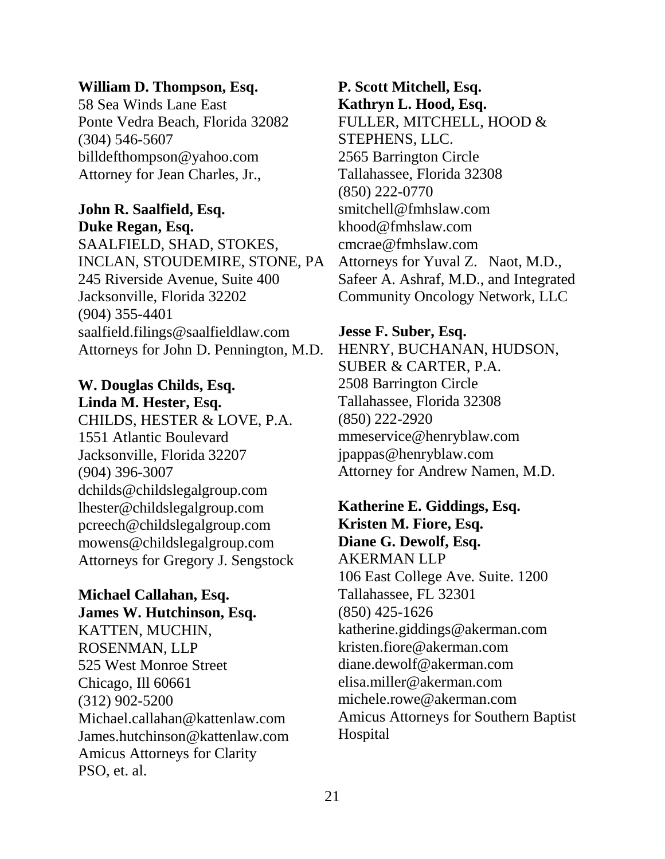### **William D. Thompson, Esq.**

58 Sea Winds Lane East Ponte Vedra Beach, Florida 32082 (304) 546-5607 [billdefthompson@yahoo.com](mailto:billdefthompson@yahoo.com) Attorney for Jean Charles, Jr.,

### **John R. Saalfield, Esq. Duke Regan, Esq.**

SAALFIELD, SHAD, STOKES, INCLAN, STOUDEMIRE, STONE, PA 245 Riverside Avenue, Suite 400 Jacksonville, Florida 32202 (904) 355-4401 [saalfield.filings@saalfieldlaw.com](mailto:saalfield.filings@saalfieldlaw.com) Attorneys for John D. Pennington, M.D.

**W. Douglas Childs, Esq. Linda M. Hester, Esq.** CHILDS, HESTER & LOVE, P.A. 1551 Atlantic Boulevard Jacksonville, Florida 32207 (904) 396-3007 [dchilds@childslegalgroup.com](mailto:dchilds@childslegalgroup.com) [lhester@childslegalgroup.com](mailto:lhester@childslegalgroup.com) [pcreech@childslegalgroup.com](mailto:pcreech@childslegalgroup.com) [mowens@childslegalgroup.com](mailto:mowens@childslegalgroup.com) Attorneys for Gregory J. Sengstock

### **Michael Callahan, Esq. James W. Hutchinson, Esq.**

KATTEN, MUCHIN, ROSENMAN, LLP 525 West Monroe Street Chicago, Ill 60661 (312) 902-5200 Michael.callahan@kattenlaw.com James.hutchinson@kattenlaw.com Amicus Attorneys for Clarity PSO, et. al.

**P. Scott Mitchell, Esq. Kathryn L. Hood, Esq.** FULLER, MITCHELL, HOOD & STEPHENS, LLC. 2565 Barrington Circle Tallahassee, Florida 32308 (850) 222-0770 [smitchell@fmhslaw.com](mailto:smitchell@fmhslaw.com) [khood@fmhslaw.com](mailto:khood@fmhslaw.com) [cmcrae@fmhslaw.com](mailto:cmcrae@fmhslaw.com) Attorneys for Yuval Z. Naot, M.D., Safeer A. Ashraf, M.D., and Integrated Community Oncology Network, LLC

#### **Jesse F. Suber, Esq.**

HENRY, BUCHANAN, HUDSON, SUBER & CARTER, P.A. 2508 Barrington Circle Tallahassee, Florida 32308 (850) 222-2920 [mmeservice@henryblaw.com](mailto:mmeservice@henryblaw.com) [jpappas@henryblaw.com](mailto:jpappas@henryblaw.com) Attorney for Andrew Namen, M.D.

**Katherine E. Giddings, Esq. Kristen M. Fiore, Esq. Diane G. Dewolf, Esq.** AKERMAN LLP 106 East College Ave. Suite. 1200 Tallahassee, FL 32301 (850) 425-1626 katherine.giddings@akerman.com kristen.fiore@akerman.com diane.dewolf@akerman.com elisa.miller@akerman.com michele.rowe@akerman.com Amicus Attorneys for Southern Baptist Hospital